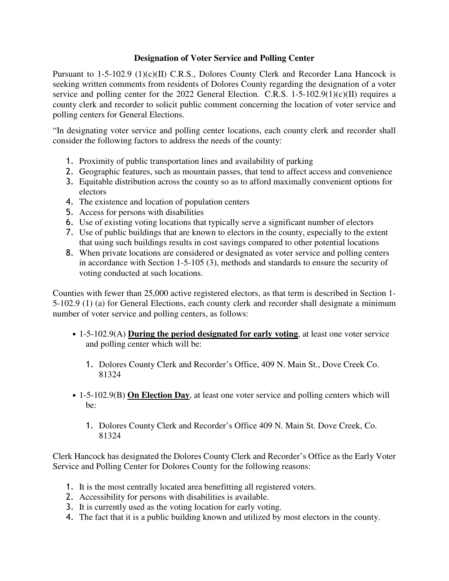## **Designation of Voter Service and Polling Center**

Pursuant to 1-5-102.9 (1)(c)(II) C.R.S., Dolores County Clerk and Recorder Lana Hancock is seeking written comments from residents of Dolores County regarding the designation of a voter service and polling center for the 2022 General Election. C.R.S. 1-5-102.9(1)(c)(II) requires a county clerk and recorder to solicit public comment concerning the location of voter service and polling centers for General Elections.

"In designating voter service and polling center locations, each county clerk and recorder shall consider the following factors to address the needs of the county:

- 1. Proximity of public transportation lines and availability of parking
- 2. Geographic features, such as mountain passes, that tend to affect access and convenience
- 3. Equitable distribution across the county so as to afford maximally convenient options for electors
- 4. The existence and location of population centers
- 5. Access for persons with disabilities
- 6. Use of existing voting locations that typically serve a significant number of electors
- 7. Use of public buildings that are known to electors in the county, especially to the extent that using such buildings results in cost savings compared to other potential locations
- 8. When private locations are considered or designated as voter service and polling centers in accordance with Section 1-5-105 (3), methods and standards to ensure the security of voting conducted at such locations.

Counties with fewer than 25,000 active registered electors, as that term is described in Section 1- 5-102.9 (1) (a) for General Elections, each county clerk and recorder shall designate a minimum number of voter service and polling centers, as follows:

- 1-5-102.9(A) **During the period designated for early voting**, at least one voter service and polling center which will be:
	- 1. Dolores County Clerk and Recorder's Office, 409 N. Main St., Dove Creek Co. 81324
- 1-5-102.9(B) **On Election Day**, at least one voter service and polling centers which will be:
	- 1. Dolores County Clerk and Recorder's Office 409 N. Main St. Dove Creek, Co. 81324

Clerk Hancock has designated the Dolores County Clerk and Recorder's Office as the Early Voter Service and Polling Center for Dolores County for the following reasons:

- 1. It is the most centrally located area benefitting all registered voters.
- 2. Accessibility for persons with disabilities is available.
- 3. It is currently used as the voting location for early voting.
- 4. The fact that it is a public building known and utilized by most electors in the county.